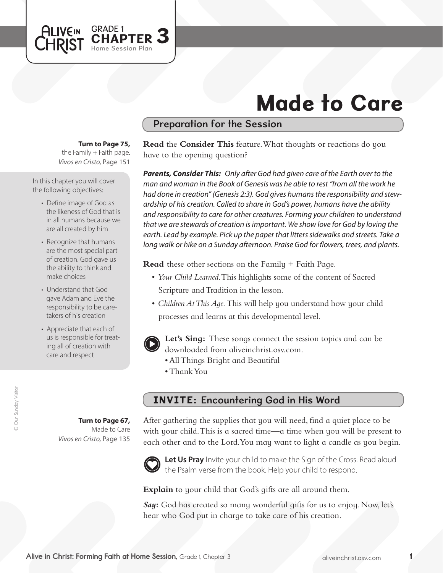

# Made to Care

## Preparation for the Session

#### **Turn to Page 75,**

the Family  $+$  Faith page. *Vivos en Cristo,* Page 151

In this chapter you will cover the following objectives:

- Define image of God as the likeness of God that is in all humans because we are all created by him
- Recognize that humans are the most special part of creation. God gave us the ability to think and make choices
- Understand that God gave Adam and Eve the responsibility to be caretakers of his creation
- Appreciate that each of us is responsible for treating all of creation with care and respect

**Turn to Page 67,** Made to Care

*Vivos en Cristo,* Page 135

**Read** the **Consider This** feature. What thoughts or reactions do you have to the opening question?

*Parents, Consider This: Only after God had given care of the Earth over to the man and woman in the Book of Genesis was he able to rest "from all the work he had done in creation" (Genesis 2:3). God gives humans the responsibility and stewardship of his creation. Called to share in God's power, humans have the ability and responsibility to care for other creatures. Forming your children to understand that we are stewards of creation is important. We show love for God by loving the earth. Lead by example. Pick up the paper that litters sidewalks and streets. Take a long walk or hike on a Sunday afternoon. Praise God for flowers, trees, and plants.* 

**Read** these other sections on the Family + Faith Page.

- • *Your Child Learned*. This highlights some of the content of Sacred Scripture and Tradition in the lesson.
- *Children At This Age*. This will help you understand how your child processes and learns at this developmental level.



**Let's Sing:** These songs connect the session topics and can be downloaded from aliveinchrist.osv.com.

- All Things Bright and Beautiful
- • ThankYou

# INVITE: Encountering God in His Word

After gathering the supplies that you will need, find a quiet place to be with your child. This is a sacred time—a time when you will be present to each other and to the Lord.You may want to light a candle as you begin.



Let Us Pray Invite your child to make the Sign of the Cross. Read aloud the Psalm verse from the book. Help your child to respond.

**Explain** to your child that God's gifts are all around them.

*Say***:** God has created so many wonderful gifts for us to enjoy. Now, let's hear who God put in charge to take care of his creation.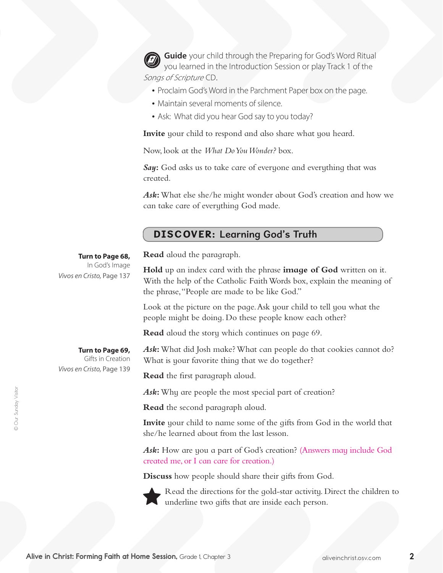**Guide** your child through the Preparing for God's Word Ritual you learned in the Introduction Session or play Track 1 of the Songs of Scripture CD.

- Proclaim God's Word in the Parchment Paper box on the page.
- Maintain several moments of silence.
- Ask: What did you hear God say to you today?

**Invite** your child to respond and also share what you heard.

Now, look at the *What Do You Wonder?* box.

*Say***:** God asks us to take care of everyone and everything that was created.

*Ask***:** What else she/he might wonder about God's creation and how we can take care of everything God made.

### DISCOVER: Learning God's Truth

**Turn to Page 68,**

In God's Image *Vivos en Cristo,* Page 137

**Read** aloud the paragraph.

**Hold** up an index card with the phrase **image of God** written on it. With the help of the Catholic Faith Words box, explain the meaning of the phrase,"People are made to be like God."

Look at the picture on the page.Ask your child to tell you what the people might be doing. Do these people know each other?

**Read** aloud the story which continues on page 69.

#### **Turn to Page 69,**

Gifts in Creation *Vivos en Cristo,* Page 139

Ask: What did Josh make? What can people do that cookies cannot do? What is your favorite thing that we do together?

**Read** the first paragraph aloud.

*Ask***:** Why are people the most special part of creation?

**Read** the second paragraph aloud.

**Invite** your child to name some of the gifts from God in the world that she/he learned about from the last lesson.

*Ask***:** How are you a part of God's creation? (Answers may include God created me, or I can care for creation.)

**Discuss** how people should share their gifts from God.

Read the directions for the gold-star activity. Direct the children to underline two gifts that are inside each person.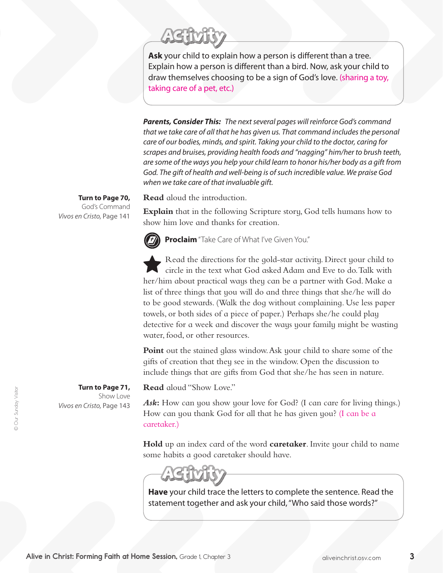**Ask** your child to explain how a person is different than a tree. Explain how a person is different than a bird. Now, ask your child to draw themselves choosing to be a sign of God's love. (sharing a toy, taking care of a pet, etc.)

*Parents, Consider This: The next several pages will reinforce God's command that we take care of all that he has given us. That command includes the personal care of our bodies, minds, and spirit. Taking your child to the doctor, caring for scrapes and bruises, providing health foods and "nagging" him/her to brush teeth, are some of the ways you help your child learn to honor his/her body as a gift from God. The gift of health and well-being is of such incredible value. We praise God when we take care of that invaluable gift.*

**Read** aloud the introduction.

**Explain** that in the following Scripture story, God tells humans how to show him love and thanks for creation.

**Turn to Page 70,** God's Command *Vivos en Cristo,* Page 141

**Proclaim** "Take Care of What I've Given You."

Read the directions for the gold-star activity. Direct your child to circle in the text what God asked Adam and Eve to do.Talk with her/him about practical ways they can be a partner with God. Make a list of three things that you will do and three things that she/he will do to be good stewards. (Walk the dog without complaining. Use less paper towels, or both sides of a piece of paper.) Perhaps she/he could play detective for a week and discover the ways your family might be wasting water, food, or other resources.

**Point** out the stained glass window. Ask your child to share some of the gifts of creation that they see in the window. Open the discussion to include things that are gifts from God that she/he has seen in nature.

**Read** aloud "Show Love."

Ask: How can you show your love for God? (I can care for living things.) How can you thank God for all that he has given you? (I can be a caretaker.)

**Hold** up an index card of the word **caretaker**. Invite your child to name some habits a good caretaker should have.

**Have** your child trace the letters to complete the sentence. Read the statement together and ask your child, "Who said those words?"

**Turn to Page 71,**  Show Love *Vivos en Cristo,* Page 143